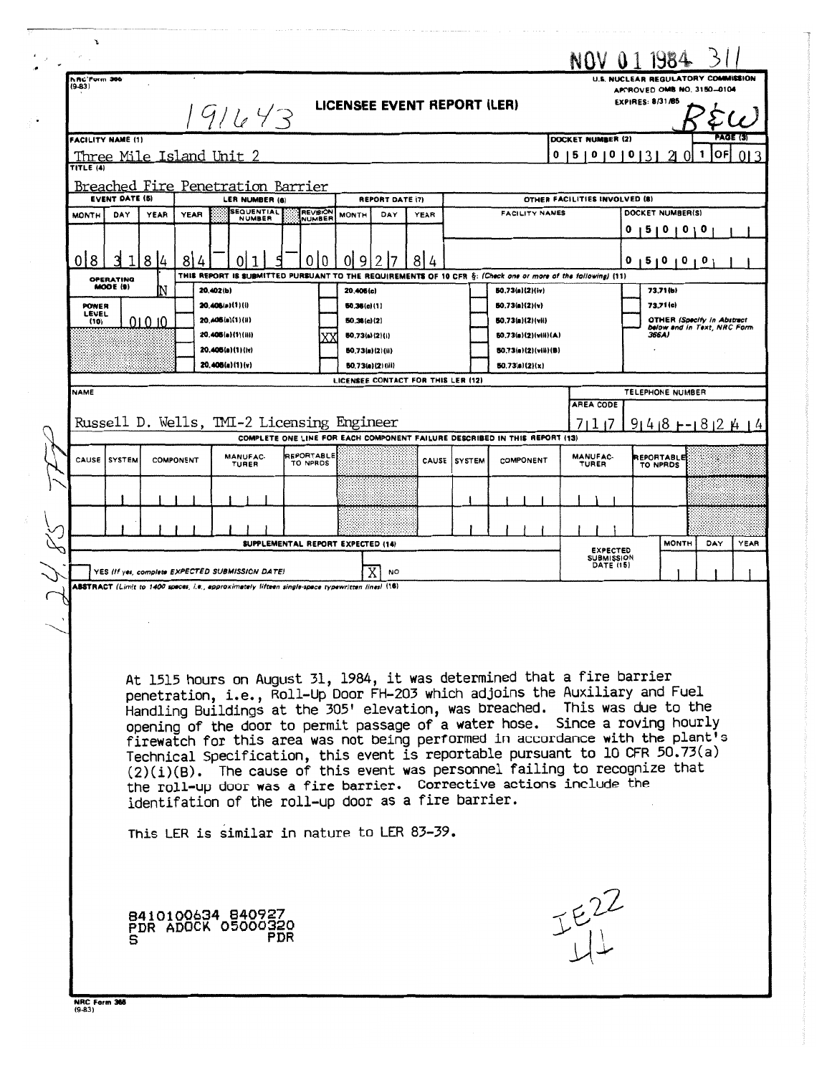|  | r                                                                                                                                |                       |  |           |                                                                                                                                                                 |                                                                                                      |                                                                                                              |                 |  |                                   |                                                |                                              | NOV 011984                                                       |          |                                    |                                       |      |
|--|----------------------------------------------------------------------------------------------------------------------------------|-----------------------|--|-----------|-----------------------------------------------------------------------------------------------------------------------------------------------------------------|------------------------------------------------------------------------------------------------------|--------------------------------------------------------------------------------------------------------------|-----------------|--|-----------------------------------|------------------------------------------------|----------------------------------------------|------------------------------------------------------------------|----------|------------------------------------|---------------------------------------|------|
|  | hRC'Form 366<br>$(9-83)$                                                                                                         |                       |  |           |                                                                                                                                                                 |                                                                                                      |                                                                                                              |                 |  |                                   |                                                |                                              |                                                                  |          | U.S. NUCLEAR REGULATORY COMMISSION |                                       |      |
|  | LICENSEE EVENT REPORT (LER)<br>191643                                                                                            |                       |  |           |                                                                                                                                                                 |                                                                                                      |                                                                                                              |                 |  |                                   | APPROVED OMB NO. 3150-0104<br>EXPIRES: 8/31/85 |                                              |                                                                  |          |                                    |                                       |      |
|  |                                                                                                                                  |                       |  |           |                                                                                                                                                                 |                                                                                                      |                                                                                                              |                 |  |                                   |                                                |                                              |                                                                  |          |                                    |                                       |      |
|  | <b>FACILITY NAME (1)</b><br>0<br>5   0   0  <br>Three Mile Island Unit 2                                                         |                       |  |           |                                                                                                                                                                 |                                                                                                      |                                                                                                              |                 |  |                                   |                                                |                                              | DOCKET NUMBER (2)                                                | 013      | 0                                  | <b>PAGE (3)</b><br>ОF<br>$\mathbf{L}$ | 013  |
|  | TITLE (4)                                                                                                                        |                       |  |           |                                                                                                                                                                 |                                                                                                      |                                                                                                              |                 |  |                                   |                                                |                                              |                                                                  |          |                                    |                                       |      |
|  |                                                                                                                                  | <b>EVENT DATE (5)</b> |  |           | Breached Fire Penetration Barrier<br>LER NUMBER (6)                                                                                                             |                                                                                                      |                                                                                                              |                 |  |                                   |                                                |                                              | OTHER FACILITIES INVOLVED (8)                                    |          |                                    |                                       |      |
|  | YEAR<br><b>YEAR</b><br><b>MONTH</b><br>DAY                                                                                       |                       |  |           | <b>SEQUENTIAL</b><br>NUMBER                                                                                                                                     | REPORT DATE (7)<br>REVISION<br><b>FACILITY NAMES</b><br><b>MONTH</b><br>DAY<br><b>YEAR</b><br>NUMBER |                                                                                                              |                 |  |                                   |                                                |                                              | DOCKET NUMBER(S)                                                 |          |                                    |                                       |      |
|  |                                                                                                                                  |                       |  |           |                                                                                                                                                                 |                                                                                                      |                                                                                                              |                 |  |                                   |                                                |                                              |                                                                  | 0<br>I 5 | $\mathbf o$<br>O                   | o                                     |      |
|  | 018<br>8<br>8<br>4                                                                                                               |                       |  |           | 2<br>8<br>9<br>0<br>0<br>01<br>4<br>0                                                                                                                           |                                                                                                      |                                                                                                              |                 |  |                                   |                                                | 0                                            | 1510101                                                          | o        |                                    |                                       |      |
|  | OPERATING<br>MODE (9)                                                                                                            |                       |  |           |                                                                                                                                                                 |                                                                                                      | THIS REPORT IS SUBMITTED PURSUANT TO THE REQUIREMENTS OF 10 CFR §: (Check one or more of the following) (11) |                 |  |                                   |                                                |                                              |                                                                  |          |                                    |                                       |      |
|  | <b>POWER</b>                                                                                                                     |                       |  |           | 20.402(b)<br>20.405(a)(1)(i)                                                                                                                                    | 20,406(c)<br>50,35(c)(1)                                                                             |                                                                                                              |                 |  | 50.73(a)(2)(iv)<br>50.73(a)(2)(v) |                                                |                                              | 73.71 (b)<br>73.71(c)                                            |          |                                    |                                       |      |
|  | (10)                                                                                                                             | LEVEL<br>01 0 10      |  |           | 20.406(a)(1)(ii)                                                                                                                                                |                                                                                                      | 50,36(c)(2)                                                                                                  |                 |  | 50.73(a)(2)(vii)                  |                                                |                                              | <b>OTHER (Specify in Abstract</b><br>below and in Text, NRC Form |          |                                    |                                       |      |
|  |                                                                                                                                  |                       |  |           | 20.405(a)(1)(iii)<br>20,405(a)(1)(iv)                                                                                                                           |                                                                                                      | 60.73(a)(2)(i)                                                                                               | 50.73(a)(2)(ii) |  |                                   |                                                | 50.73(a)(2)(vili)(A)<br>50.73(a)(2)(viii)(B) |                                                                  |          | 366A)                              |                                       |      |
|  |                                                                                                                                  |                       |  |           | 20,405(a)(1)(v)                                                                                                                                                 |                                                                                                      |                                                                                                              | BO 73(a)(2)(Hi) |  |                                   |                                                | 50.73(a)(2)(x)                               |                                                                  |          |                                    |                                       |      |
|  | LICENSEE CONTACT FOR THIS LER (12)<br><b>NAME</b><br><b>TELEPHONE NUMBER</b>                                                     |                       |  |           |                                                                                                                                                                 |                                                                                                      |                                                                                                              |                 |  |                                   |                                                |                                              |                                                                  |          |                                    |                                       |      |
|  |                                                                                                                                  |                       |  |           |                                                                                                                                                                 |                                                                                                      |                                                                                                              |                 |  | <b>AREA CODE</b>                  |                                                |                                              |                                                                  |          |                                    |                                       |      |
|  | Russell D. Wells, TMI-2 Licensing Engineer<br>7117<br>COMPLETE ONE LINE FOR EACH COMPONENT FAILURE DESCRIBED IN THIS REPORT (13) |                       |  |           |                                                                                                                                                                 |                                                                                                      |                                                                                                              |                 |  |                                   |                                                | $91418$ + - 1812 $\mu$ 14                    |                                                                  |          |                                    |                                       |      |
|  |                                                                                                                                  | CAUSE ISYSTEM         |  | COMPONENT | MANUFAC-<br>TURER                                                                                                                                               | REPORTABLE<br>TO NPRDS                                                                               |                                                                                                              |                 |  | CAUSE SYSTEM                      |                                                | COMPONENT                                    | MANUFAC-<br>TURER                                                |          | REPORTABLE<br>TO NPRDS             |                                       |      |
|  |                                                                                                                                  |                       |  |           |                                                                                                                                                                 |                                                                                                      |                                                                                                              |                 |  |                                   |                                                |                                              |                                                                  |          |                                    |                                       |      |
|  |                                                                                                                                  |                       |  |           |                                                                                                                                                                 |                                                                                                      |                                                                                                              |                 |  |                                   |                                                |                                              |                                                                  |          |                                    |                                       |      |
|  |                                                                                                                                  |                       |  |           |                                                                                                                                                                 | SUPPLEMENTAL REPORT EXPECTED (14)                                                                    |                                                                                                              |                 |  |                                   |                                                |                                              | <b>EXPECTED</b>                                                  |          | <b>MONTH</b>                       | DAY                                   | YEAR |
|  |                                                                                                                                  |                       |  |           | YES (If yes, complete EXPECTED SUBMISSION DATE)                                                                                                                 |                                                                                                      |                                                                                                              | <b>NO</b>       |  |                                   |                                                |                                              | <b>SUBMISSION</b><br><b>DATE (15)</b>                            |          |                                    |                                       |      |
|  |                                                                                                                                  |                       |  |           | ABSTRACT (Limit to 1400 spaces, i.e., approximately fifteen single-space typewritten lines) (16)                                                                |                                                                                                      |                                                                                                              |                 |  |                                   |                                                |                                              |                                                                  |          |                                    |                                       |      |
|  |                                                                                                                                  |                       |  |           |                                                                                                                                                                 |                                                                                                      |                                                                                                              |                 |  |                                   |                                                |                                              |                                                                  |          |                                    |                                       |      |
|  |                                                                                                                                  |                       |  |           |                                                                                                                                                                 |                                                                                                      |                                                                                                              |                 |  |                                   |                                                |                                              |                                                                  |          |                                    |                                       |      |
|  |                                                                                                                                  |                       |  |           |                                                                                                                                                                 |                                                                                                      |                                                                                                              |                 |  |                                   |                                                |                                              |                                                                  |          |                                    |                                       |      |
|  |                                                                                                                                  |                       |  |           | At 1515 hours on August 31, 1984, it was determined that a fire barrier                                                                                         |                                                                                                      |                                                                                                              |                 |  |                                   |                                                |                                              |                                                                  |          |                                    |                                       |      |
|  |                                                                                                                                  |                       |  |           | penetration, i.e., Roll-Up Door FH-203 which adjoins the Auxiliary and Fuel<br>Handling Buildings at the 305' elevation, was breached. This was due to the      |                                                                                                      |                                                                                                              |                 |  |                                   |                                                |                                              |                                                                  |          |                                    |                                       |      |
|  |                                                                                                                                  |                       |  |           | opening of the door to permit passage of a water hose. Since a roving hourly                                                                                    |                                                                                                      |                                                                                                              |                 |  |                                   |                                                |                                              |                                                                  |          |                                    |                                       |      |
|  |                                                                                                                                  |                       |  |           | firewatch for this area was not being performed in accordance with the plant's<br>Technical Specification, this event is reportable pursuant to 10 CFR 50.73(a) |                                                                                                      |                                                                                                              |                 |  |                                   |                                                |                                              |                                                                  |          |                                    |                                       |      |
|  |                                                                                                                                  |                       |  |           | (2)(i)(B). The cause of this event was personnel failing to recognize that                                                                                      |                                                                                                      |                                                                                                              |                 |  |                                   |                                                |                                              |                                                                  |          |                                    |                                       |      |
|  |                                                                                                                                  |                       |  |           | the roll-up door was a fire barrier. Corrective actions include the                                                                                             |                                                                                                      |                                                                                                              |                 |  |                                   |                                                |                                              |                                                                  |          |                                    |                                       |      |
|  |                                                                                                                                  |                       |  |           | identifation of the roll-up door as a fire barrier.<br>This LER is similar in nature to LER 83-39.                                                              |                                                                                                      |                                                                                                              |                 |  |                                   |                                                |                                              |                                                                  |          |                                    |                                       |      |
|  |                                                                                                                                  |                       |  |           |                                                                                                                                                                 |                                                                                                      |                                                                                                              |                 |  |                                   |                                                |                                              |                                                                  |          |                                    |                                       |      |
|  |                                                                                                                                  |                       |  |           |                                                                                                                                                                 |                                                                                                      |                                                                                                              |                 |  |                                   |                                                |                                              |                                                                  |          |                                    |                                       |      |
|  |                                                                                                                                  |                       |  |           |                                                                                                                                                                 |                                                                                                      |                                                                                                              |                 |  |                                   |                                                |                                              |                                                                  |          |                                    |                                       |      |
|  |                                                                                                                                  |                       |  |           | 8410100634 840927                                                                                                                                               |                                                                                                      |                                                                                                              |                 |  |                                   |                                                |                                              | $IF_{11}^{22}$                                                   |          |                                    |                                       |      |
|  |                                                                                                                                  | s                     |  |           | PDR ADOCK 05000320                                                                                                                                              | PDR                                                                                                  |                                                                                                              |                 |  |                                   |                                                |                                              |                                                                  |          |                                    |                                       |      |
|  |                                                                                                                                  |                       |  |           |                                                                                                                                                                 |                                                                                                      |                                                                                                              |                 |  |                                   |                                                |                                              |                                                                  |          |                                    |                                       |      |
|  |                                                                                                                                  |                       |  |           |                                                                                                                                                                 |                                                                                                      |                                                                                                              |                 |  |                                   |                                                |                                              |                                                                  |          |                                    |                                       |      |
|  | NRC Form 366<br>$(9-83)$                                                                                                         |                       |  |           |                                                                                                                                                                 |                                                                                                      |                                                                                                              |                 |  |                                   |                                                |                                              |                                                                  |          |                                    |                                       |      |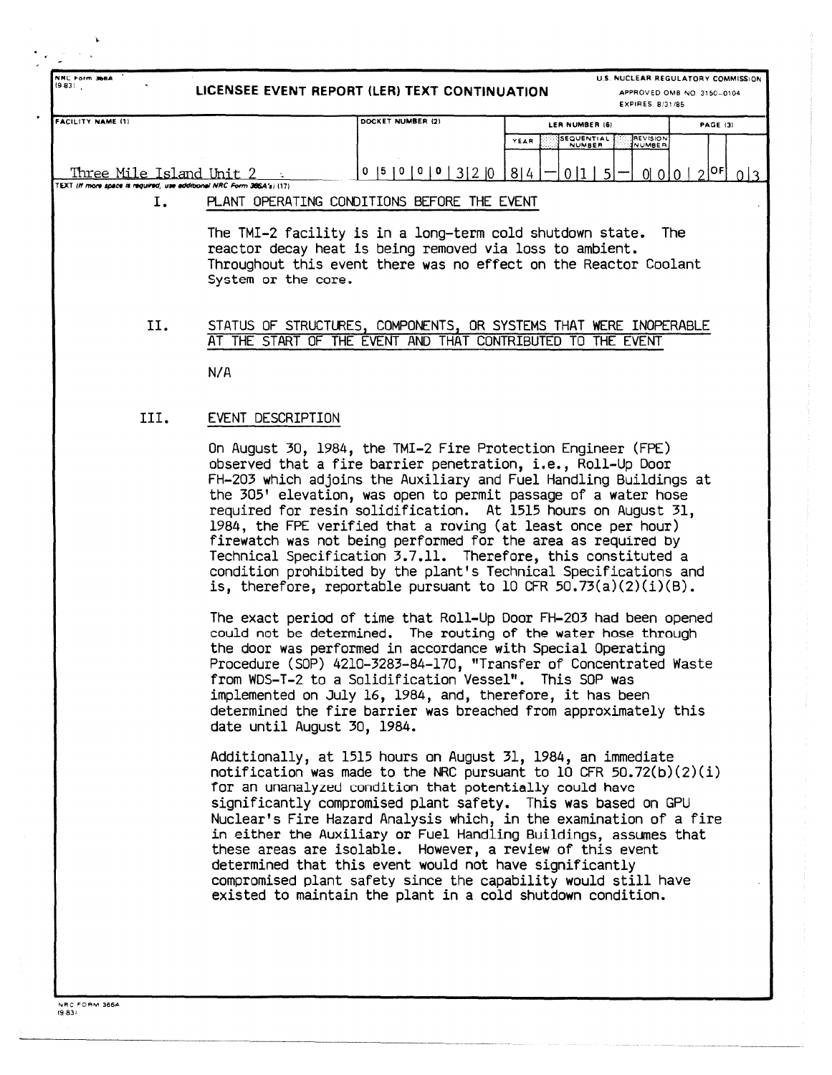| NHC Form 366A<br>(9.831)                                                                                                     | LICENSEE EVENT REPORT (LER) TEXT CONTINUATION | EXPIRES 8/31/85                                                  | U.S. NUCLEAR REGULATORY COMMISSION<br>APPROVED OMB NO 3150-0104 |  |  |
|------------------------------------------------------------------------------------------------------------------------------|-----------------------------------------------|------------------------------------------------------------------|-----------------------------------------------------------------|--|--|
| <b>FACILITY NAME (1)</b>                                                                                                     | DOCKET NUMBER (2)                             | LER NUMBER (6)                                                   | <b>PAGE (3)</b>                                                 |  |  |
|                                                                                                                              |                                               | SEQUENTIAL<br><b>REVISION</b><br>YEAR<br><b>NUMBER</b><br>NUMBER |                                                                 |  |  |
| Three Mile Island Unit 2<br>TEXT (If more space is required, use additional NRC Form 386A's) (17)                            | 5 0<br>3 2 0<br>0                             | 8 4<br>0 1<br>$0$ 0 0 $0$<br>$-5'$                               | 2 0F <br>0 <sup>3</sup>                                         |  |  |
| I.                                                                                                                           | PLANT OPERATING CONDITIONS BEFORE THE EVENT   |                                                                  |                                                                 |  |  |
| The TMI-2 facility is in a long-term cold shutdown state.<br>The<br>reactor decay heat is being removed via loss to ambient. |                                               |                                                                  |                                                                 |  |  |

Throughout this event there was no effect on the Reactor Coolant System or the core .

II. STATUS OF STRUCTURES, COMPONENTS, OR SYSTEMS THAT WERE INOPERABLE AT THE START OF THE EVENT AND THAT CONTRIBUTED TO THE EVENT

**N/ A**

## III. EVENT DESCRIPTION

On August 30, 1984, the TMI-2 Fire Protection Engineer (FPE) observed that a fire barrier penetration, i.e., Roll-Up Door FH-203 which adjoins the Auxiliary and Fuel Handling Buildings a t the 305' elevation, was open to permit passage of a water hose required for resin solidification. At 1515 hours on August 31. 1984, the FPE verified that a roving (at least once per hour ) firewatch was not being performed for the area as required by Technical Specification 3.7.11. Therefore, this constituted a condition prohibited by the plant's Technical Specifications and is, therefore, reportable pursuant to 10 CFR  $50.73(a)(2)(i)(B)$ .

The exact period of time that Roll-Up Door FH-203 had been opened could not be determined. The routing of the water hose through the door was performed in accordance with Special Operating Procedure (SOP) 4210-3283-84-170, "Transfer of Concentrated Waste from WDS-T-2 to a Solidification Vessel". This SOP was implemented on July 16, 1984, and, therefore, it has been determined the fire barrier was breached from approximately this date until August 30, 1984 .

Additionally, at 1515 hours on August 31, 1984, an immediate notification was made to the NRC pursuant to 10 CFR  $50.72(b)(2)(i)$ for an unanalyzed condition that potentially could have significantly compromised plant safety. This was based on GPU Nuclear's Fire Hazard Analysis which, in the examination of a fire in either the Auxiliary or Fuel Handling Buildings, assumes that these areas are isolable. However, a review of this event determined that this event would not have significantly compromised plant safety since the capability would still have existed to maintain the plant in a cold shutdown condition.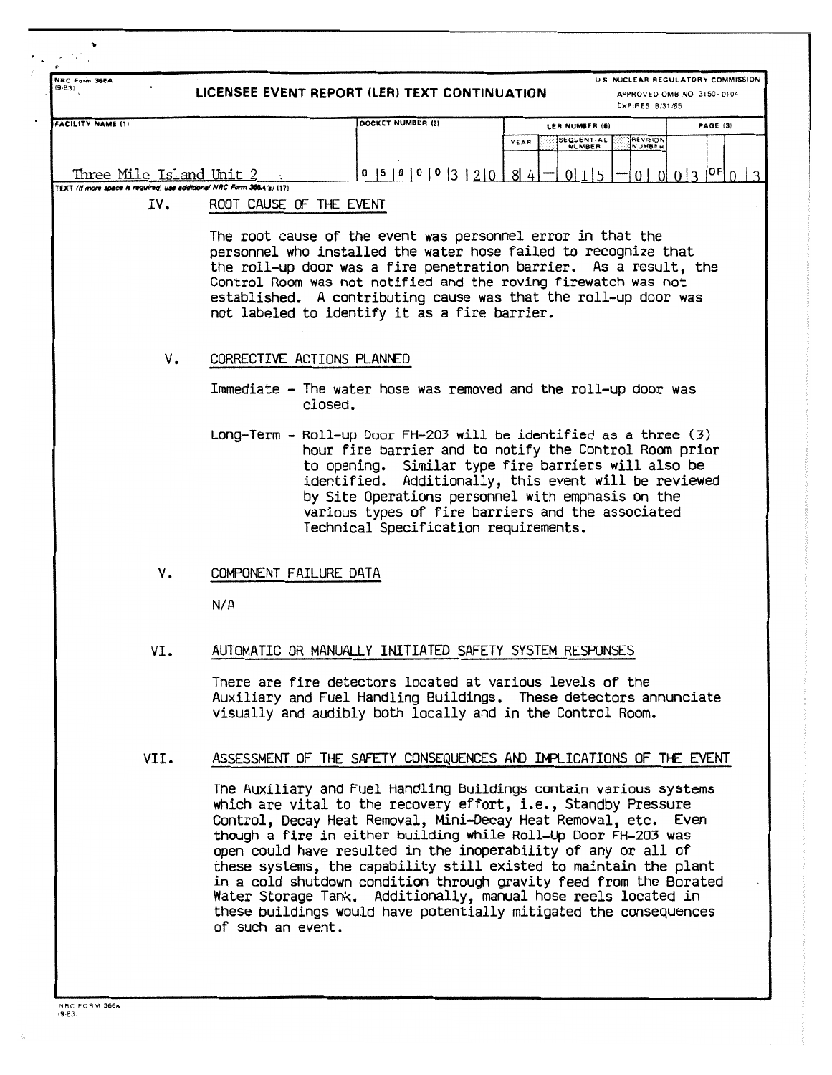| NRC Form 366A<br>(9.83)  | LICENSEE EVENT REPORT (LER) TEXT CONTINUATION                                                    |                                                                                                                                                                                                                                                                                                                                                                                                                                                                                                                                                                                                                              |                                                | U.S. NUCLEAR REGULATORY COMMISSION<br>APPROVED OMB NO. 3150-0104 |  |  |  |  |  |
|--------------------------|--------------------------------------------------------------------------------------------------|------------------------------------------------------------------------------------------------------------------------------------------------------------------------------------------------------------------------------------------------------------------------------------------------------------------------------------------------------------------------------------------------------------------------------------------------------------------------------------------------------------------------------------------------------------------------------------------------------------------------------|------------------------------------------------|------------------------------------------------------------------|--|--|--|--|--|
|                          |                                                                                                  |                                                                                                                                                                                                                                                                                                                                                                                                                                                                                                                                                                                                                              |                                                | EXPIRES 8/31/85                                                  |  |  |  |  |  |
| <b>FACILITY NAME (1)</b> |                                                                                                  | DOCKET NUMBER (2)                                                                                                                                                                                                                                                                                                                                                                                                                                                                                                                                                                                                            | LER NUMBER (6)<br>SEQUENTIAL<br>YEAR<br>NUMBER | PAGE (3)<br>REVISION<br>NUMBER                                   |  |  |  |  |  |
| Three Mile Island Unit 2 |                                                                                                  | 0  5  0  0  0  3  2  0  8  4                                                                                                                                                                                                                                                                                                                                                                                                                                                                                                                                                                                                 | 0 1 5                                          | $0 3 ^{OF} 0 ^{2}$<br>$0 \mid 0$                                 |  |  |  |  |  |
| IV.                      | TEXT (If more space is required, use additional NRC Form 366A's) (17)<br>ROOT CAUSE OF THE EVENT |                                                                                                                                                                                                                                                                                                                                                                                                                                                                                                                                                                                                                              |                                                |                                                                  |  |  |  |  |  |
|                          |                                                                                                  | The root cause of the event was personnel error in that the<br>personnel who installed the water hose failed to recognize that<br>the roll-up door was a fire penetration barrier. As a result, the<br>Control Room was not notified and the roving firewatch was not<br>established. A contributing cause was that the roll-up door was<br>not labeled to identify it as a fire barrier.                                                                                                                                                                                                                                    |                                                |                                                                  |  |  |  |  |  |
|                          | ٧.<br>CORRECTIVE ACTIONS PLANNED                                                                 |                                                                                                                                                                                                                                                                                                                                                                                                                                                                                                                                                                                                                              |                                                |                                                                  |  |  |  |  |  |
|                          |                                                                                                  | Immediate - The water hose was removed and the roll-up door was<br>closed.                                                                                                                                                                                                                                                                                                                                                                                                                                                                                                                                                   |                                                |                                                                  |  |  |  |  |  |
|                          |                                                                                                  | Long-Term - Roll-up Door FH-203 will be identified as a three (3)<br>hour fire barrier and to notify the Control Room prior<br>to opening. Similar type fire barriers will also be<br>identified. Additionally, this event will be reviewed<br>by Site Operations personnel with emphasis on the<br>various types of fire barriers and the associated<br>Technical Specification requirements.                                                                                                                                                                                                                               |                                                |                                                                  |  |  |  |  |  |
| ٧.                       | COMPONENT FAILURE DATA                                                                           |                                                                                                                                                                                                                                                                                                                                                                                                                                                                                                                                                                                                                              |                                                |                                                                  |  |  |  |  |  |
|                          | N/A                                                                                              |                                                                                                                                                                                                                                                                                                                                                                                                                                                                                                                                                                                                                              |                                                |                                                                  |  |  |  |  |  |
| VI.                      |                                                                                                  | AUTOMATIC OR MANUALLY INITIATED SAFETY SYSTEM RESPONSES                                                                                                                                                                                                                                                                                                                                                                                                                                                                                                                                                                      |                                                |                                                                  |  |  |  |  |  |
|                          |                                                                                                  | There are fire detectors located at various levels of the<br>Auxiliary and Fuel Handling Buildings. These detectors annunciate<br>visually and audibly both locally and in the Control Room.                                                                                                                                                                                                                                                                                                                                                                                                                                 |                                                |                                                                  |  |  |  |  |  |
| VII.                     |                                                                                                  | ASSESSMENT OF THE SAFETY CONSEQUENCES AND IMPLICATIONS OF THE EVENT                                                                                                                                                                                                                                                                                                                                                                                                                                                                                                                                                          |                                                |                                                                  |  |  |  |  |  |
|                          | of such an event.                                                                                | The Auxiliary and Fuel Handling Buildings contain various systems<br>which are vital to the recovery effort, i.e., Standby Pressure<br>Control, Decay Heat Removal, Mini-Decay Heat Removal, etc. Even<br>though a fire in either building while Roll-Up Door FH-203 was<br>open could have resulted in the inoperability of any or all of<br>these systems, the capability still existed to maintain the plant<br>in a cold shutdown condition through gravity feed from the Borated<br>Water Storage Tank. Additionally, manual hose reels located in<br>these buildings would have potentially mitigated the consequences |                                                |                                                                  |  |  |  |  |  |